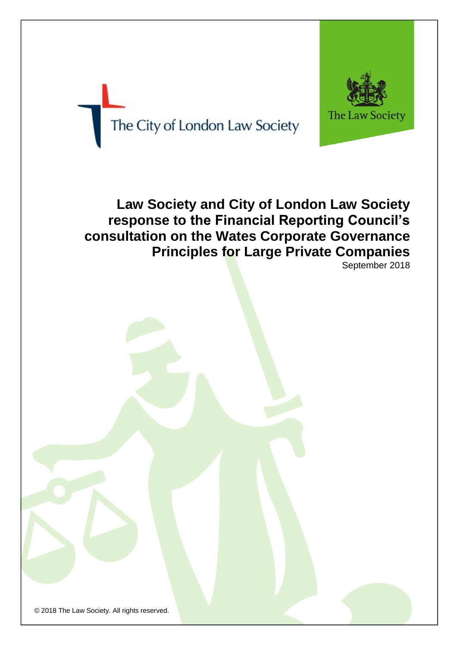

The City of London Law Society

# **Law Society and City of London Law Society response to the Financial Reporting Council's consultation on the Wates Corporate Governance Principles for Large Private Companies**

September 2018

© 2018 The Law Society. All rights reserved.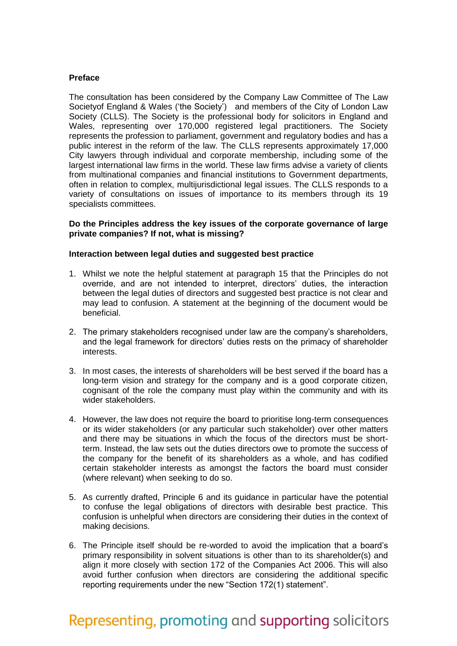## **Preface**

The consultation has been considered by the Company Law Committee of The Law Societyof England & Wales ('the Society') and members of the City of London Law Society (CLLS). The Society is the professional body for solicitors in England and Wales, representing over 170,000 registered legal practitioners. The Society represents the profession to parliament, government and regulatory bodies and has a public interest in the reform of the law. The CLLS represents approximately 17,000 City lawyers through individual and corporate membership, including some of the largest international law firms in the world. These law firms advise a variety of clients from multinational companies and financial institutions to Government departments, often in relation to complex, multijurisdictional legal issues. The CLLS responds to a variety of consultations on issues of importance to its members through its 19 specialists committees.

## **Do the Principles address the key issues of the corporate governance of large private companies? If not, what is missing?**

## **Interaction between legal duties and suggested best practice**

- 1. Whilst we note the helpful statement at paragraph 15 that the Principles do not override, and are not intended to interpret, directors' duties, the interaction between the legal duties of directors and suggested best practice is not clear and may lead to confusion. A statement at the beginning of the document would be beneficial.
- 2. The primary stakeholders recognised under law are the company's shareholders, and the legal framework for directors' duties rests on the primacy of shareholder interests.
- 3. In most cases, the interests of shareholders will be best served if the board has a long-term vision and strategy for the company and is a good corporate citizen, cognisant of the role the company must play within the community and with its wider stakeholders.
- 4. However, the law does not require the board to prioritise long-term consequences or its wider stakeholders (or any particular such stakeholder) over other matters and there may be situations in which the focus of the directors must be shortterm. Instead, the law sets out the duties directors owe to promote the success of the company for the benefit of its shareholders as a whole, and has codified certain stakeholder interests as amongst the factors the board must consider (where relevant) when seeking to do so.
- 5. As currently drafted, Principle 6 and its guidance in particular have the potential to confuse the legal obligations of directors with desirable best practice. This confusion is unhelpful when directors are considering their duties in the context of making decisions.
- 6. The Principle itself should be re-worded to avoid the implication that a board's primary responsibility in solvent situations is other than to its shareholder(s) and align it more closely with section 172 of the Companies Act 2006. This will also avoid further confusion when directors are considering the additional specific reporting requirements under the new "Section 172(1) statement".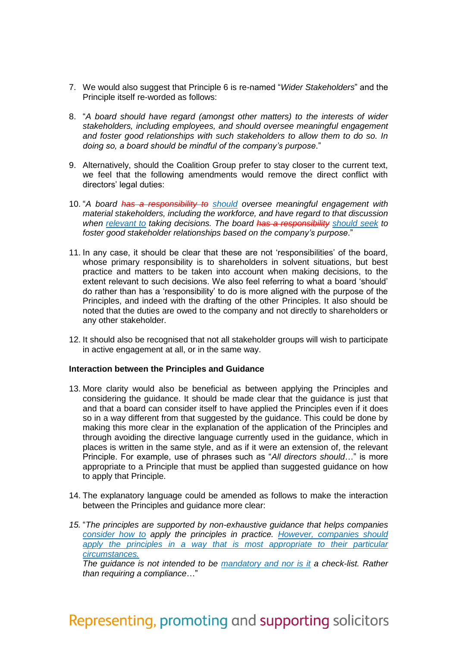- 7. We would also suggest that Principle 6 is re-named "*Wider Stakeholders*" and the Principle itself re-worded as follows:
- 8. "*A board should have regard (amongst other matters) to the interests of wider stakeholders, including employees, and should oversee meaningful engagement and foster good relationships with such stakeholders to allow them to do so. In doing so, a board should be mindful of the company's purpose*."
- 9. Alternatively, should the Coalition Group prefer to stay closer to the current text, we feel that the following amendments would remove the direct conflict with directors' legal duties:
- 10. "*A board has a responsibility to should oversee meaningful engagement with material stakeholders, including the workforce, and have regard to that discussion when relevant to taking decisions. The board has a responsibility should seek to foster good stakeholder relationships based on the company's purpose*."
- 11. In any case, it should be clear that these are not 'responsibilities' of the board, whose primary responsibility is to shareholders in solvent situations, but best practice and matters to be taken into account when making decisions, to the extent relevant to such decisions. We also feel referring to what a board 'should' do rather than has a 'responsibility' to do is more aligned with the purpose of the Principles, and indeed with the drafting of the other Principles. It also should be noted that the duties are owed to the company and not directly to shareholders or any other stakeholder.
- 12. It should also be recognised that not all stakeholder groups will wish to participate in active engagement at all, or in the same way.

### **Interaction between the Principles and Guidance**

- 13. More clarity would also be beneficial as between applying the Principles and considering the guidance. It should be made clear that the guidance is just that and that a board can consider itself to have applied the Principles even if it does so in a way different from that suggested by the guidance. This could be done by making this more clear in the explanation of the application of the Principles and through avoiding the directive language currently used in the guidance, which in places is written in the same style, and as if it were an extension of, the relevant Principle. For example, use of phrases such as "*All directors should*…" is more appropriate to a Principle that must be applied than suggested guidance on how to apply that Principle.
- 14. The explanatory language could be amended as follows to make the interaction between the Principles and guidance more clear:
- *15.* "*The principles are supported by non-exhaustive guidance that helps companies consider how to apply the principles in practice. However, companies should*  apply the principles in a way that is most appropriate to their particular *circumstances.*

*The guidance is not intended to be mandatory and nor is it a check-list. Rather than requiring a compliance*…"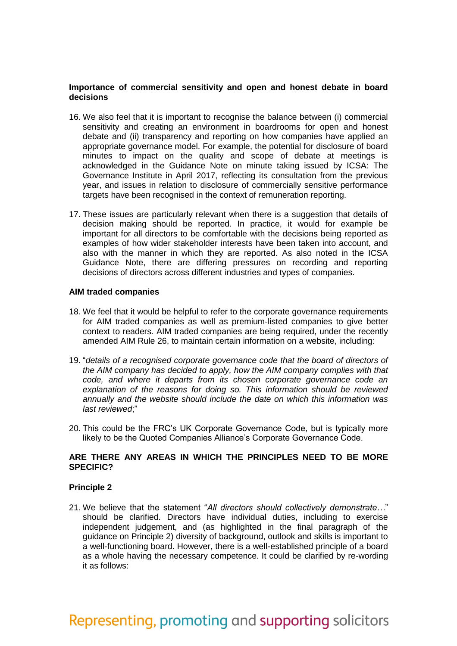## **Importance of commercial sensitivity and open and honest debate in board decisions**

- 16. We also feel that it is important to recognise the balance between (i) commercial sensitivity and creating an environment in boardrooms for open and honest debate and (ii) transparency and reporting on how companies have applied an appropriate governance model. For example, the potential for disclosure of board minutes to impact on the quality and scope of debate at meetings is acknowledged in the Guidance Note on minute taking issued by ICSA: The Governance Institute in April 2017, reflecting its consultation from the previous year, and issues in relation to disclosure of commercially sensitive performance targets have been recognised in the context of remuneration reporting.
- 17. These issues are particularly relevant when there is a suggestion that details of decision making should be reported. In practice, it would for example be important for all directors to be comfortable with the decisions being reported as examples of how wider stakeholder interests have been taken into account, and also with the manner in which they are reported. As also noted in the ICSA Guidance Note, there are differing pressures on recording and reporting decisions of directors across different industries and types of companies.

#### **AIM traded companies**

- 18. We feel that it would be helpful to refer to the corporate governance requirements for AIM traded companies as well as premium-listed companies to give better context to readers. AIM traded companies are being required, under the recently amended AIM Rule 26, to maintain certain information on a website, including:
- 19. "*details of a recognised corporate governance code that the board of directors of the AIM company has decided to apply, how the AIM company complies with that code, and where it departs from its chosen corporate governance code an explanation of the reasons for doing so. This information should be reviewed annually and the website should include the date on which this information was last reviewed*;"
- 20. This could be the FRC's UK Corporate Governance Code, but is typically more likely to be the Quoted Companies Alliance's Corporate Governance Code.

# **ARE THERE ANY AREAS IN WHICH THE PRINCIPLES NEED TO BE MORE SPECIFIC?**

#### **Principle 2**

21. We believe that the statement "*All directors should collectively demonstrate…*" should be clarified. Directors have individual duties, including to exercise independent judgement, and (as highlighted in the final paragraph of the guidance on Principle 2) diversity of background, outlook and skills is important to a well-functioning board. However, there is a well-established principle of a board as a whole having the necessary competence. It could be clarified by re-wording it as follows: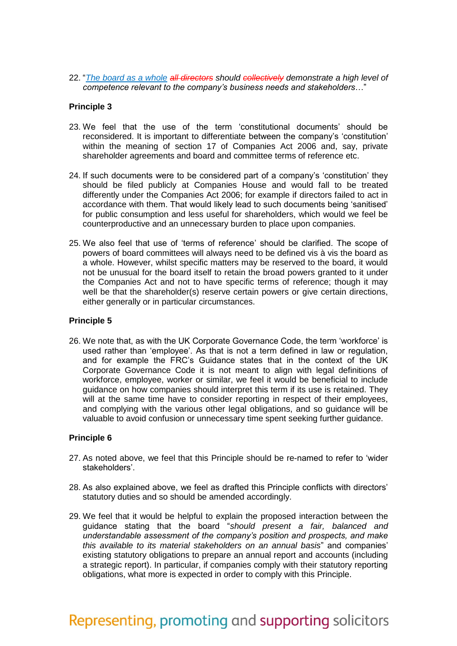22. "*The board as a whole all directors should collectively demonstrate a high level of competence relevant to the company's business needs and stakeholders*…"

# **Principle 3**

- 23. We feel that the use of the term 'constitutional documents' should be reconsidered. It is important to differentiate between the company's 'constitution' within the meaning of section 17 of Companies Act 2006 and, say, private shareholder agreements and board and committee terms of reference etc.
- 24. If such documents were to be considered part of a company's 'constitution' they should be filed publicly at Companies House and would fall to be treated differently under the Companies Act 2006; for example if directors failed to act in accordance with them. That would likely lead to such documents being 'sanitised' for public consumption and less useful for shareholders, which would we feel be counterproductive and an unnecessary burden to place upon companies.
- 25. We also feel that use of 'terms of reference' should be clarified. The scope of powers of board committees will always need to be defined vis à vis the board as a whole. However, whilst specific matters may be reserved to the board, it would not be unusual for the board itself to retain the broad powers granted to it under the Companies Act and not to have specific terms of reference; though it may well be that the shareholder(s) reserve certain powers or give certain directions, either generally or in particular circumstances.

### **Principle 5**

26. We note that, as with the UK Corporate Governance Code, the term 'workforce' is used rather than 'employee'. As that is not a term defined in law or regulation, and for example the FRC's Guidance states that in the context of the UK Corporate Governance Code it is not meant to align with legal definitions of workforce, employee, worker or similar, we feel it would be beneficial to include guidance on how companies should interpret this term if its use is retained. They will at the same time have to consider reporting in respect of their employees, and complying with the various other legal obligations, and so guidance will be valuable to avoid confusion or unnecessary time spent seeking further guidance.

#### **Principle 6**

- 27. As noted above, we feel that this Principle should be re-named to refer to 'wider stakeholders'.
- 28. As also explained above, we feel as drafted this Principle conflicts with directors' statutory duties and so should be amended accordingly.
- 29. We feel that it would be helpful to explain the proposed interaction between the guidance stating that the board "*should present a fair, balanced and understandable assessment of the company's position and prospects, and make this available to its material stakeholders on an annual basis*" and companies' existing statutory obligations to prepare an annual report and accounts (including a strategic report). In particular, if companies comply with their statutory reporting obligations, what more is expected in order to comply with this Principle.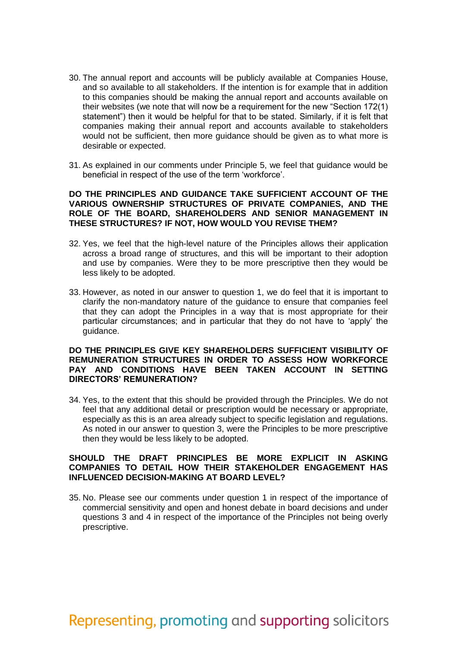- 30. The annual report and accounts will be publicly available at Companies House, and so available to all stakeholders. If the intention is for example that in addition to this companies should be making the annual report and accounts available on their websites (we note that will now be a requirement for the new "Section 172(1) statement") then it would be helpful for that to be stated. Similarly, if it is felt that companies making their annual report and accounts available to stakeholders would not be sufficient, then more guidance should be given as to what more is desirable or expected.
- 31. As explained in our comments under Principle 5, we feel that guidance would be beneficial in respect of the use of the term 'workforce'.

#### **DO THE PRINCIPLES AND GUIDANCE TAKE SUFFICIENT ACCOUNT OF THE VARIOUS OWNERSHIP STRUCTURES OF PRIVATE COMPANIES, AND THE ROLE OF THE BOARD, SHAREHOLDERS AND SENIOR MANAGEMENT IN THESE STRUCTURES? IF NOT, HOW WOULD YOU REVISE THEM?**

- 32. Yes, we feel that the high-level nature of the Principles allows their application across a broad range of structures, and this will be important to their adoption and use by companies. Were they to be more prescriptive then they would be less likely to be adopted.
- 33. However, as noted in our answer to question 1, we do feel that it is important to clarify the non-mandatory nature of the guidance to ensure that companies feel that they can adopt the Principles in a way that is most appropriate for their particular circumstances; and in particular that they do not have to 'apply' the guidance.

## **DO THE PRINCIPLES GIVE KEY SHAREHOLDERS SUFFICIENT VISIBILITY OF REMUNERATION STRUCTURES IN ORDER TO ASSESS HOW WORKFORCE PAY AND CONDITIONS HAVE BEEN TAKEN ACCOUNT IN SETTING DIRECTORS' REMUNERATION?**

34. Yes, to the extent that this should be provided through the Principles. We do not feel that any additional detail or prescription would be necessary or appropriate, especially as this is an area already subject to specific legislation and regulations. As noted in our answer to question 3, were the Principles to be more prescriptive then they would be less likely to be adopted.

## **SHOULD THE DRAFT PRINCIPLES BE MORE EXPLICIT IN ASKING COMPANIES TO DETAIL HOW THEIR STAKEHOLDER ENGAGEMENT HAS INFLUENCED DECISION-MAKING AT BOARD LEVEL?**

35. No. Please see our comments under question 1 in respect of the importance of commercial sensitivity and open and honest debate in board decisions and under questions 3 and 4 in respect of the importance of the Principles not being overly prescriptive.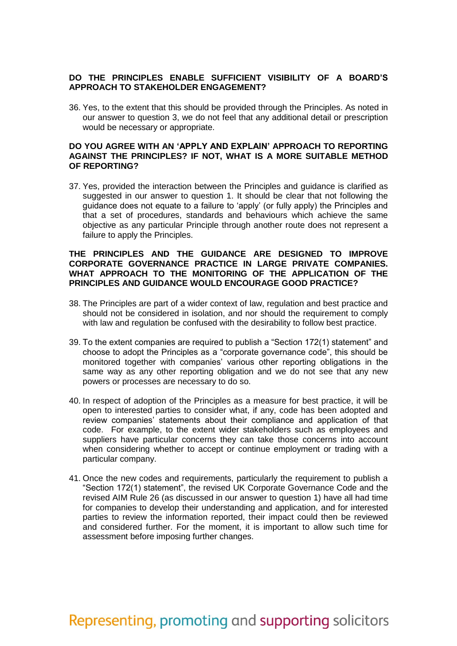# **DO THE PRINCIPLES ENABLE SUFFICIENT VISIBILITY OF A BOARD'S APPROACH TO STAKEHOLDER ENGAGEMENT?**

36. Yes, to the extent that this should be provided through the Principles. As noted in our answer to question 3, we do not feel that any additional detail or prescription would be necessary or appropriate.

### **DO YOU AGREE WITH AN 'APPLY AND EXPLAIN' APPROACH TO REPORTING AGAINST THE PRINCIPLES? IF NOT, WHAT IS A MORE SUITABLE METHOD OF REPORTING?**

37. Yes, provided the interaction between the Principles and guidance is clarified as suggested in our answer to question 1. It should be clear that not following the guidance does not equate to a failure to 'apply' (or fully apply) the Principles and that a set of procedures, standards and behaviours which achieve the same objective as any particular Principle through another route does not represent a failure to apply the Principles.

### **THE PRINCIPLES AND THE GUIDANCE ARE DESIGNED TO IMPROVE CORPORATE GOVERNANCE PRACTICE IN LARGE PRIVATE COMPANIES. WHAT APPROACH TO THE MONITORING OF THE APPLICATION OF THE PRINCIPLES AND GUIDANCE WOULD ENCOURAGE GOOD PRACTICE?**

- 38. The Principles are part of a wider context of law, regulation and best practice and should not be considered in isolation, and nor should the requirement to comply with law and regulation be confused with the desirability to follow best practice.
- 39. To the extent companies are required to publish a "Section 172(1) statement" and choose to adopt the Principles as a "corporate governance code", this should be monitored together with companies' various other reporting obligations in the same way as any other reporting obligation and we do not see that any new powers or processes are necessary to do so.
- 40. In respect of adoption of the Principles as a measure for best practice, it will be open to interested parties to consider what, if any, code has been adopted and review companies' statements about their compliance and application of that code. For example, to the extent wider stakeholders such as employees and suppliers have particular concerns they can take those concerns into account when considering whether to accept or continue employment or trading with a particular company.
- 41. Once the new codes and requirements, particularly the requirement to publish a "Section 172(1) statement", the revised UK Corporate Governance Code and the revised AIM Rule 26 (as discussed in our answer to question 1) have all had time for companies to develop their understanding and application, and for interested parties to review the information reported, their impact could then be reviewed and considered further. For the moment, it is important to allow such time for assessment before imposing further changes.